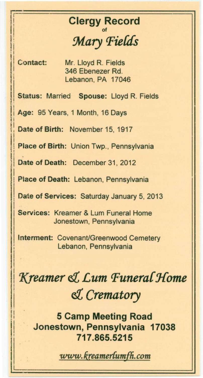## **Clergy Record** Mary Fields

Contact:

Mr. Lloyd R. Fields 346 Ebenezer Rd. Lebanon, PA 17046

Status: Married Spouse: Lloyd R. Fields

Age: 95 Years, 1 Month, 16 Days

Date of Birth: November 15, 1917

Place of Birth: Union Twp., Pennsylvania

Date of Death: December 31, 2012

Place of Death: Lebanon, Pennsylvania

Date of Services: Saturday January 5, 2013

Services: Kreamer & Lum Funeral Home Jonestown, Pennsylvania

Interment: Covenant/Greenwood Cemetery Lebanon, Pennsylvania

## Kreamer & Lum Funeral Home & Crematory

**5 Camp Meeting Road** Jonestown, Pennsylvania 17038 717.865.5215

www.kreamerlumfh.com